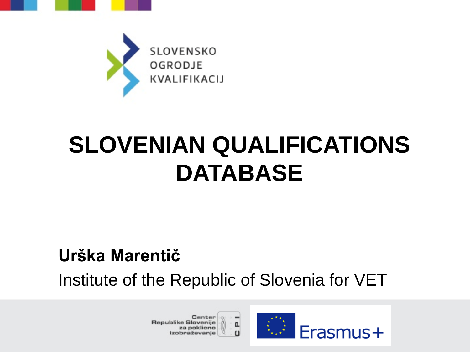



## **SLOVENIAN QUALIFICATIONS DATABASE**

#### **Urška Marentič**

Institute of the Republic of Slovenia for VET

a,

Center Republike Slovenije za poklicno izobraževanje

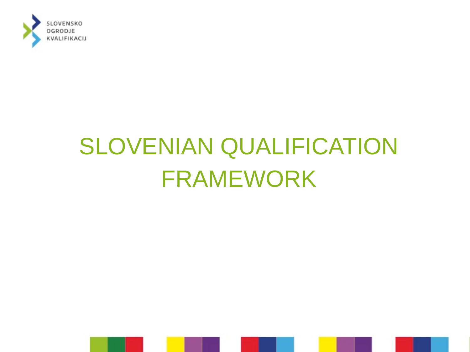

## SLOVENIAN QUALIFICATION FRAMEWORK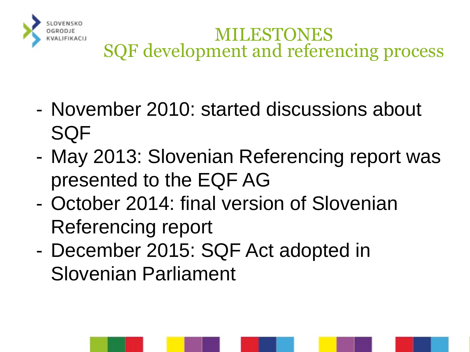

#### MILESTONES SQF development and referencing process

- November 2010: started discussions about SQF
- May 2013: Slovenian Referencing report was presented to the EQF AG
- October 2014: final version of Slovenian Referencing report
- December 2015: SQF Act adopted in Slovenian Parliament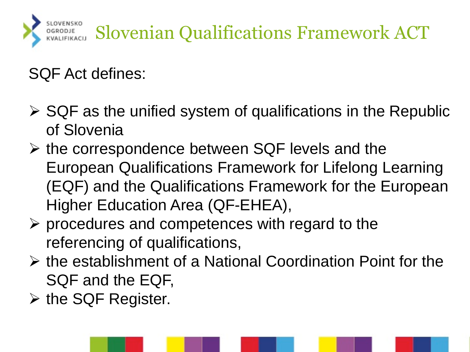

#### SQF Act defines:

- $\triangleright$  SQF as the unified system of qualifications in the Republic of Slovenia
- $\triangleright$  the correspondence between SQF levels and the European Qualifications Framework for Lifelong Learning (EQF) and the Qualifications Framework for the European Higher Education Area (QF-EHEA),
- $\triangleright$  procedures and competences with regard to the referencing of qualifications,
- $\triangleright$  the establishment of a National Coordination Point for the SQF and the EQF,
- $\triangleright$  the SQF Register.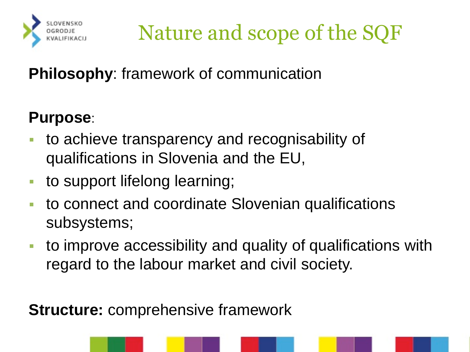<span id="page-4-0"></span>

Nature and scope of the SQF

**Philosophy**: framework of communication

#### **Purpose**:

- to achieve transparency and recognisability of qualifications in Slovenia and the EU,
- **to support lifelong learning;**
- to connect and coordinate Slovenian qualifications subsystems;
- to improve accessibility and quality of qualifications with regard to the labour market and civil society.

**Structure:** comprehensive framework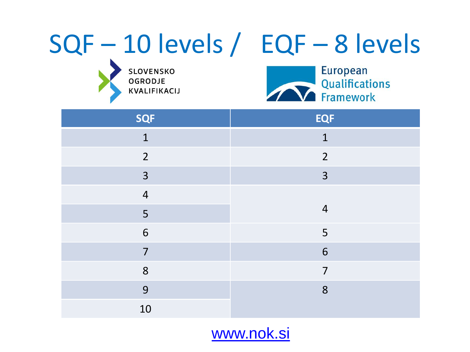## SQF – 10 levels / EQF – 8 levels

SLOVENSKO<br>OGRODJE KVALIFIKACIJ



| <b>SQF</b>     | <b>EQF</b>     |
|----------------|----------------|
| $\mathbf{1}$   | $\mathbf{1}$   |
| $2^{\circ}$    | $\overline{2}$ |
| 3              | 3              |
| $\overline{4}$ |                |
| 5              | $\overline{4}$ |
| 6              | 5              |
| $\overline{7}$ | 6              |
| 8              | $\overline{7}$ |
| 9              | 8              |
| 10             |                |

[www.nok.si](#page-4-0)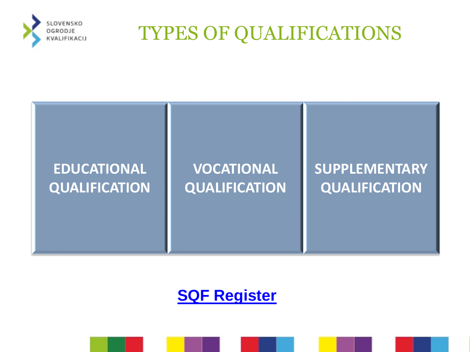

### TYPES OF QUALIFICATIONS

#### **EDUCATIONAL QUALIFICATION**

#### **VOCATIONAL QUALIFICATION**

#### **SUPPLEMENTARY QUALIFICATION**

#### **[SQF Register](http://www.nok.si/slovenian-qualifications-framework-register/)**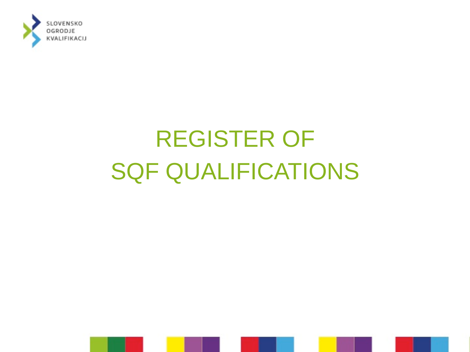

## REGISTER OF SQF QUALIFICATIONS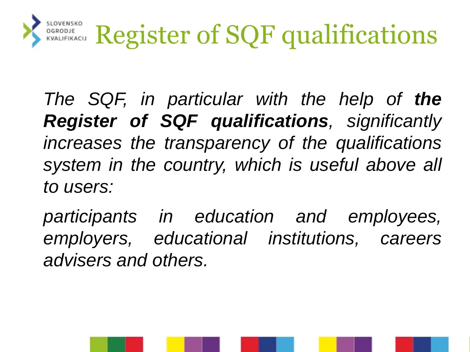

*The SQF, in particular with the help of the Register of SQF qualifications, significantly increases the transparency of the qualifications system in the country, which is useful above all to users:*

*participants in education and employees, employers, educational institutions, careers advisers and others.*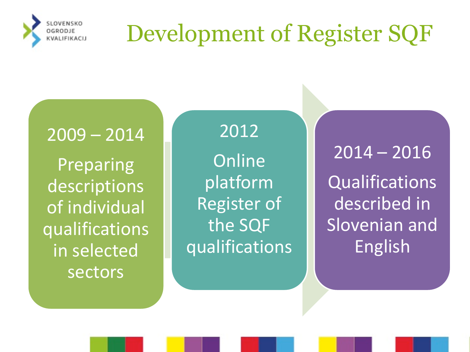

## Development of Register SQF

2009 – 2014

Preparing descriptions of individual qualifications in selected sectors

2012 **Online** platform Register of the SQF qualifications

2014 – 2016 Qualifications described in Slovenian and English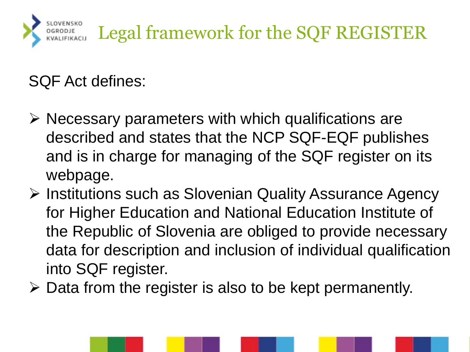

SQF Act defines:

- $\triangleright$  Necessary parameters with which qualifications are described and states that the NCP SQF-EQF publishes and is in charge for managing of the SQF register on its webpage.
- Institutions such as Slovenian Quality Assurance Agency for Higher Education and National Education Institute of the Republic of Slovenia are obliged to provide necessary data for description and inclusion of individual qualification into SQF register.
- $\triangleright$  Data from the register is also to be kept permanently.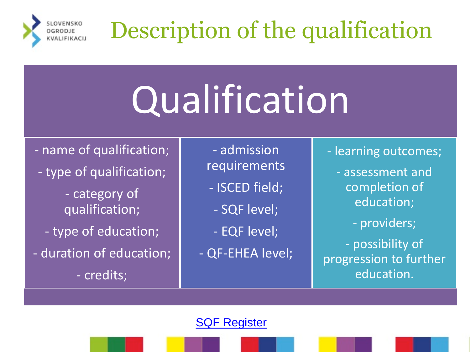

# **Qualification**

- name of qualification;

- type of qualification;

- category of qualification;

- type of education;
- duration of education;

- credits;

- admission requirements

- ISCED field;
- SQF level;
- EQF level;
- QF-EHEA level;

- learning outcomes;

- assessment and completion of education;

- providers;

- possibility of progression to further education.

[SQF Register](http://www.nok.si/slovenian-qualifications-framework-register/)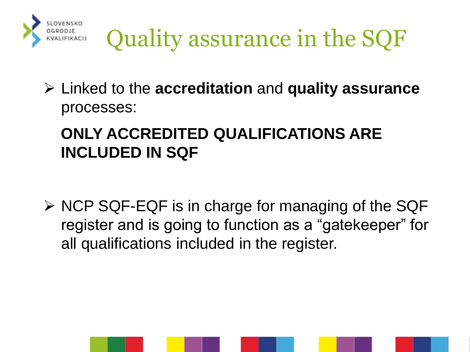

Quality assurance in the SQF

 Linked to the **accreditation** and **quality assurance**  processes:

#### **ONLY ACCREDITED QUALIFICATIONS ARE INCLUDED IN SQF**

 $\triangleright$  NCP SQF-EQF is in charge for managing of the SQF register and is going to function as a "gatekeeper" for all qualifications included in the register.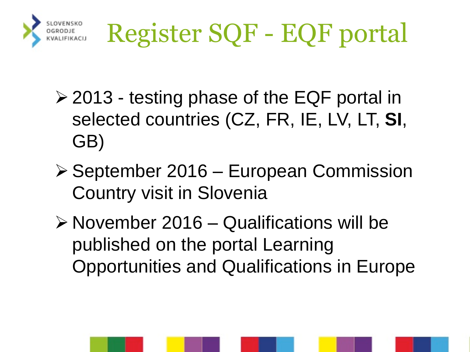- $\geq$  2013 testing phase of the EQF portal in selected countries (CZ, FR, IE, LV, LT, **SI**, GB)
- ▶ September 2016 European Commission Country visit in Slovenia
- $\triangleright$  November 2016 Qualifications will be published on the portal Learning Opportunities and Qualifications in Europe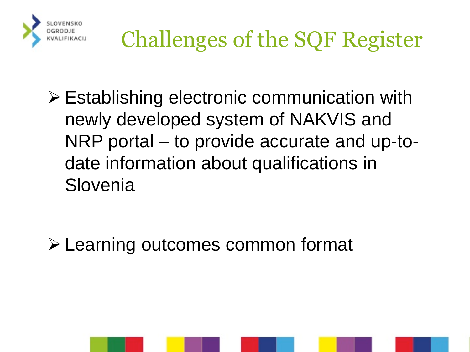

 Establishing electronic communication with newly developed system of NAKVIS and NRP portal – to provide accurate and up-todate information about qualifications in Slovenia

Learning outcomes common format